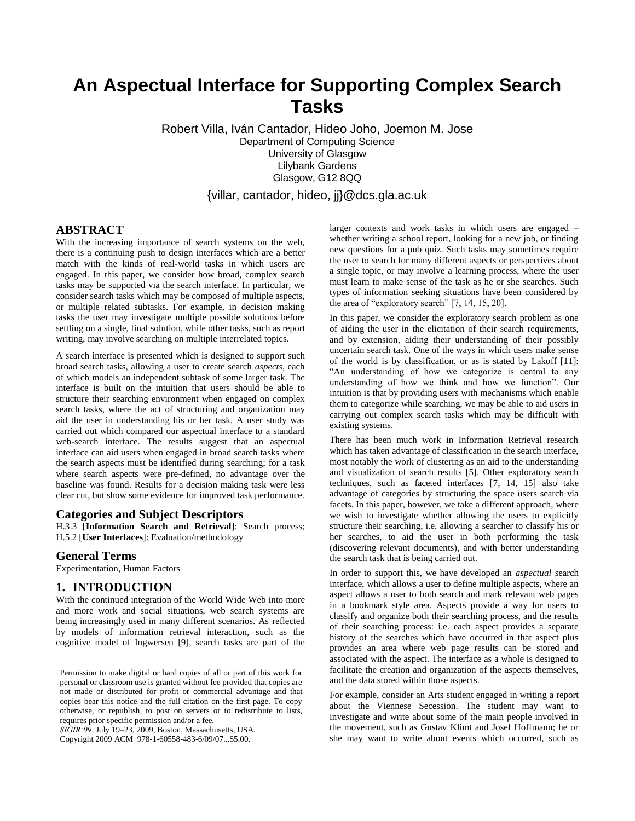# **An Aspectual Interface for Supporting Complex Search Tasks**

Robert Villa, Iván Cantador, Hideo Joho, Joemon M. Jose Department of Computing Science University of Glasgow Lilybank Gardens Glasgow, G12 8QQ

{villar, cantador, hideo, jj}@dcs.gla.ac.uk

## **ABSTRACT**

With the increasing importance of search systems on the web, there is a continuing push to design interfaces which are a better match with the kinds of real-world tasks in which users are engaged. In this paper, we consider how broad, complex search tasks may be supported via the search interface. In particular, we consider search tasks which may be composed of multiple aspects, or multiple related subtasks. For example, in decision making tasks the user may investigate multiple possible solutions before settling on a single, final solution, while other tasks, such as report writing, may involve searching on multiple interrelated topics.

A search interface is presented which is designed to support such broad search tasks, allowing a user to create search *aspects*, each of which models an independent subtask of some larger task. The interface is built on the intuition that users should be able to structure their searching environment when engaged on complex search tasks, where the act of structuring and organization may aid the user in understanding his or her task. A user study was carried out which compared our aspectual interface to a standard web-search interface. The results suggest that an aspectual interface can aid users when engaged in broad search tasks where the search aspects must be identified during searching; for a task where search aspects were pre-defined, no advantage over the baseline was found. Results for a decision making task were less clear cut, but show some evidence for improved task performance.

#### **Categories and Subject Descriptors**

H.3.3 [**Information Search and Retrieval**]: Search process; H.5.2 [**User Interfaces**]: Evaluation/methodology

#### **General Terms**

Experimentation, Human Factors

#### **1. INTRODUCTION**

With the continued integration of the World Wide Web into more and more work and social situations, web search systems are being increasingly used in many different scenarios. As reflected by models of information retrieval interaction, such as the cognitive model of Ingwersen [9], search tasks are part of the

*SIGIR'09*, July 19–23, 2009, Boston, Massachusetts, USA.

Copyright 2009 ACM 978-1-60558-483-6/09/07...\$5.00.

larger contexts and work tasks in which users are engaged – whether writing a school report, looking for a new job, or finding new questions for a pub quiz. Such tasks may sometimes require the user to search for many different aspects or perspectives about a single topic, or may involve a learning process, where the user must learn to make sense of the task as he or she searches. Such types of information seeking situations have been considered by the area of "exploratory search" [7, 14, 15, 20].

In this paper, we consider the exploratory search problem as one of aiding the user in the elicitation of their search requirements, and by extension, aiding their understanding of their possibly uncertain search task. One of the ways in which users make sense of the world is by classification, or as is stated by Lakoff [11]: "An understanding of how we categorize is central to any understanding of how we think and how we function". Our intuition is that by providing users with mechanisms which enable them to categorize while searching, we may be able to aid users in carrying out complex search tasks which may be difficult with existing systems.

There has been much work in Information Retrieval research which has taken advantage of classification in the search interface, most notably the work of clustering as an aid to the understanding and visualization of search results [5]. Other exploratory search techniques, such as faceted interfaces [7, 14, 15] also take advantage of categories by structuring the space users search via facets. In this paper, however, we take a different approach, where we wish to investigate whether allowing the users to explicitly structure their searching, i.e. allowing a searcher to classify his or her searches, to aid the user in both performing the task (discovering relevant documents), and with better understanding the search task that is being carried out.

In order to support this, we have developed an *aspectual* search interface, which allows a user to define multiple aspects, where an aspect allows a user to both search and mark relevant web pages in a bookmark style area. Aspects provide a way for users to classify and organize both their searching process, and the results of their searching process: i.e. each aspect provides a separate history of the searches which have occurred in that aspect plus provides an area where web page results can be stored and associated with the aspect. The interface as a whole is designed to facilitate the creation and organization of the aspects themselves, and the data stored within those aspects.

For example, consider an Arts student engaged in writing a report about the Viennese Secession. The student may want to investigate and write about some of the main people involved in the movement, such as Gustav Klimt and Josef Hoffmann; he or she may want to write about events which occurred, such as

Permission to make digital or hard copies of all or part of this work for personal or classroom use is granted without fee provided that copies are not made or distributed for profit or commercial advantage and that copies bear this notice and the full citation on the first page. To copy otherwise, or republish, to post on servers or to redistribute to lists, requires prior specific permission and/or a fee.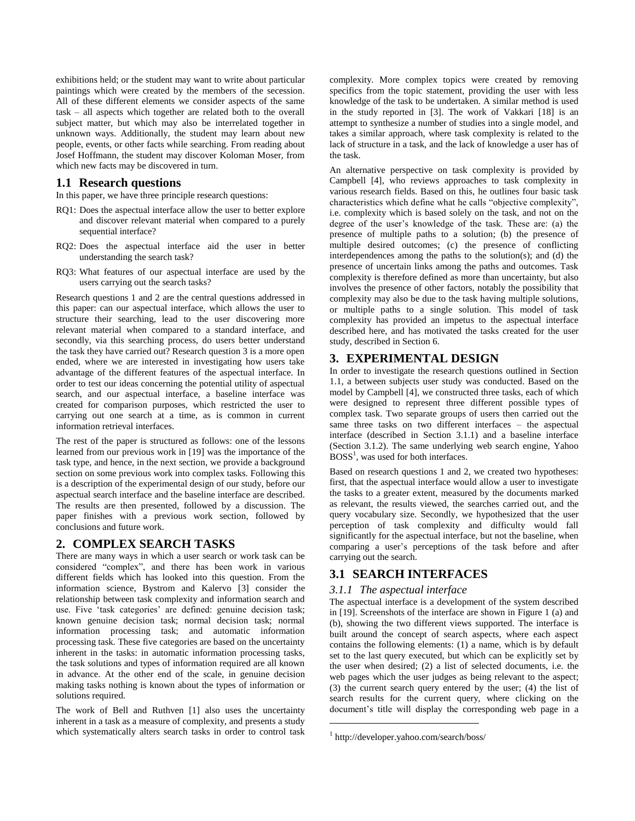exhibitions held; or the student may want to write about particular paintings which were created by the members of the secession. All of these different elements we consider aspects of the same task – all aspects which together are related both to the overall subject matter, but which may also be interrelated together in unknown ways. Additionally, the student may learn about new people, events, or other facts while searching. From reading about Josef Hoffmann, the student may discover Koloman Moser, from which new facts may be discovered in turn.

## **1.1 Research questions**

In this paper, we have three principle research questions:

- RQ1: Does the aspectual interface allow the user to better explore and discover relevant material when compared to a purely sequential interface?
- RQ2: Does the aspectual interface aid the user in better understanding the search task?
- RQ3: What features of our aspectual interface are used by the users carrying out the search tasks?

Research questions 1 and 2 are the central questions addressed in this paper: can our aspectual interface, which allows the user to structure their searching, lead to the user discovering more relevant material when compared to a standard interface, and secondly, via this searching process, do users better understand the task they have carried out? Research question 3 is a more open ended, where we are interested in investigating how users take advantage of the different features of the aspectual interface. In order to test our ideas concerning the potential utility of aspectual search, and our aspectual interface, a baseline interface was created for comparison purposes, which restricted the user to carrying out one search at a time, as is common in current information retrieval interfaces.

The rest of the paper is structured as follows: one of the lessons learned from our previous work in [19] was the importance of the task type, and hence, in the next section, we provide a background section on some previous work into complex tasks. Following this is a description of the experimental design of our study, before our aspectual search interface and the baseline interface are described. The results are then presented, followed by a discussion. The paper finishes with a previous work section, followed by conclusions and future work.

## **2. COMPLEX SEARCH TASKS**

There are many ways in which a user search or work task can be considered "complex", and there has been work in various different fields which has looked into this question. From the information science, Bystrom and Kalervo [3] consider the relationship between task complexity and information search and use. Five 'task categories' are defined: genuine decision task; known genuine decision task; normal decision task; normal information processing task; and automatic information processing task. These five categories are based on the uncertainty inherent in the tasks: in automatic information processing tasks, the task solutions and types of information required are all known in advance. At the other end of the scale, in genuine decision making tasks nothing is known about the types of information or solutions required.

The work of Bell and Ruthven [1] also uses the uncertainty inherent in a task as a measure of complexity, and presents a study which systematically alters search tasks in order to control task

complexity. More complex topics were created by removing specifics from the topic statement, providing the user with less knowledge of the task to be undertaken. A similar method is used in the study reported in [3]. The work of Vakkari [18] is an attempt to synthesize a number of studies into a single model, and takes a similar approach, where task complexity is related to the lack of structure in a task, and the lack of knowledge a user has of the task.

An alternative perspective on task complexity is provided by Campbell [4], who reviews approaches to task complexity in various research fields. Based on this, he outlines four basic task characteristics which define what he calls "objective complexity", i.e. complexity which is based solely on the task, and not on the degree of the user"s knowledge of the task. These are: (a) the presence of multiple paths to a solution; (b) the presence of multiple desired outcomes; (c) the presence of conflicting interdependences among the paths to the solution(s); and (d) the presence of uncertain links among the paths and outcomes. Task complexity is therefore defined as more than uncertainty, but also involves the presence of other factors, notably the possibility that complexity may also be due to the task having multiple solutions, or multiple paths to a single solution. This model of task complexity has provided an impetus to the aspectual interface described here, and has motivated the tasks created for the user study, described in Section 6.

## **3. EXPERIMENTAL DESIGN**

In order to investigate the research questions outlined in Section 1.1, a between subjects user study was conducted. Based on the model by Campbell [4], we constructed three tasks, each of which were designed to represent three different possible types of complex task. Two separate groups of users then carried out the same three tasks on two different interfaces – the aspectual interface (described in Section 3.1.1) and a baseline interface (Section 3.1.2). The same underlying web search engine, Yahoo  $BOSS<sup>1</sup>$ , was used for both interfaces.

Based on research questions 1 and 2, we created two hypotheses: first, that the aspectual interface would allow a user to investigate the tasks to a greater extent, measured by the documents marked as relevant, the results viewed, the searches carried out, and the query vocabulary size. Secondly, we hypothesized that the user perception of task complexity and difficulty would fall significantly for the aspectual interface, but not the baseline, when comparing a user"s perceptions of the task before and after carrying out the search.

## **3.1 SEARCH INTERFACES**

## *3.1.1 The aspectual interface*

The aspectual interface is a development of the system described in [19]. Screenshots of the interface are shown in Figure 1 (a) and (b), showing the two different views supported. The interface is built around the concept of search aspects, where each aspect contains the following elements: (1) a name, which is by default set to the last query executed, but which can be explicitly set by the user when desired; (2) a list of selected documents, i.e. the web pages which the user judges as being relevant to the aspect; (3) the current search query entered by the user; (4) the list of search results for the current query, where clicking on the document's title will display the corresponding web page in a

 $\overline{a}$ 

<sup>1</sup> http://developer.yahoo.com/search/boss/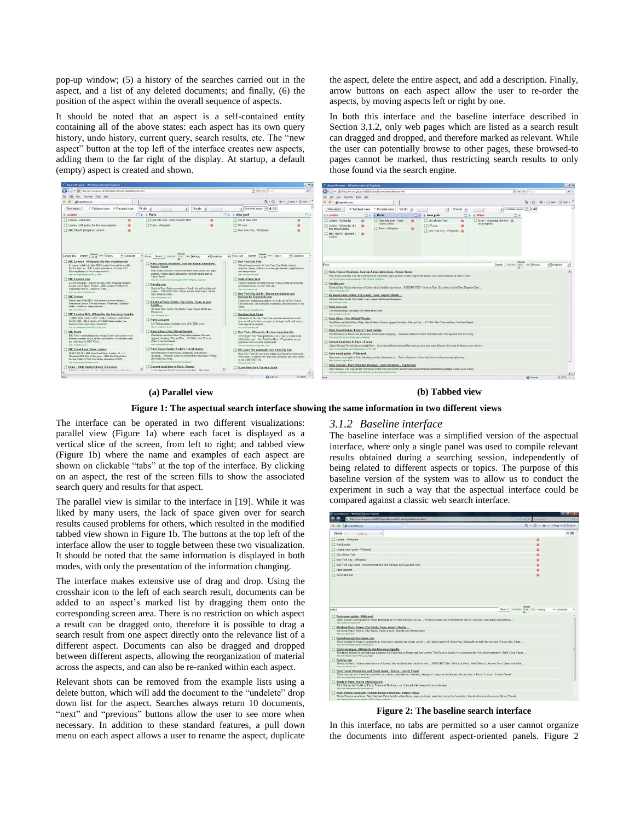pop-up window; (5) a history of the searches carried out in the aspect, and a list of any deleted documents; and finally, (6) the position of the aspect within the overall sequence of aspects.

It should be noted that an aspect is a self-contained entity containing all of the above states: each aspect has its own query history, undo history, current query, search results, etc. The "new aspect" button at the top left of the interface creates new aspects, adding them to the far right of the display. At startup, a default (empty) aspect is created and shown.

the aspect, delete the entire aspect, and add a description. Finally, arrow buttons on each aspect allow the user to re-order the aspects, by moving aspects left or right by one.

In both this interface and the baseline interface described in Section 3.1.2, only web pages which are listed as a search result can dragged and dropped, and therefore marked as relevant. While the user can potentially browse to other pages, these browsed-to pages cannot be marked, thus restricting search results to only those found via the search engine.

| AspectBrowser - Windows Internet Explorer                                                                                                                                                                  |                                                                                                                                                                                                                            | $-1$                                                                                                                                                                                                                                                       | AspectBrowser - Windows Internet Explorer                                                                                                                                                                                                                                                                                | $-5x$        |
|------------------------------------------------------------------------------------------------------------------------------------------------------------------------------------------------------------|----------------------------------------------------------------------------------------------------------------------------------------------------------------------------------------------------------------------------|------------------------------------------------------------------------------------------------------------------------------------------------------------------------------------------------------------------------------------------------------------|--------------------------------------------------------------------------------------------------------------------------------------------------------------------------------------------------------------------------------------------------------------------------------------------------------------------------|--------------|
| B http://w.dos.da.ac.uk/8080/AspectBrowser/AspectBrowser.html                                                                                                                                              |                                                                                                                                                                                                                            | p <br>$\bullet$ $\rightarrow$ X (more                                                                                                                                                                                                                      | P B http://www.dcs.da.ac.uk/8080/AspectBrowser/AspectBrowser.html<br>$\bullet$ $\rightarrow$ X limit                                                                                                                                                                                                                     | $\mathbf{p}$ |
| tion Fgrantes Tools isnip                                                                                                                                                                                  |                                                                                                                                                                                                                            |                                                                                                                                                                                                                                                            | Ele Edit tiew Fgrantes Eaals Help                                                                                                                                                                                                                                                                                        |              |
| <b>PE Aspectivance</b>                                                                                                                                                                                     |                                                                                                                                                                                                                            | 位· 回 · 单· 22500 · 口 Tool -                                                                                                                                                                                                                                 | Q - E - M - 2 Box - 0 Tools - "<br>of Of Witnessman                                                                                                                                                                                                                                                                      |              |
| Tabbed view F Parallel view<br>New aspect                                                                                                                                                                  | Width at<br>Divide «                                                                                                                                                                                                       | . Undelete aspect v 4:46                                                                                                                                                                                                                                   | vi Undelete aspect v 2:48<br>Fabbed view C Parallel view Width at<br>. Divide al<br>New aspect                                                                                                                                                                                                                           |              |
| 4 London                                                                                                                                                                                                   | Paris                                                                                                                                                                                                                      | I Mew york<br>C.                                                                                                                                                                                                                                           | <b>New york</b><br>Pari <sub>B</sub><br>$\Box$ $\rightarrow$ 4 Milan<br><b>D</b><br>4 London                                                                                                                                                                                                                             |              |
| London - Wikipedia                                                                                                                                                                                         | Paris Info.com - Paris Tourist Office<br>a                                                                                                                                                                                 | <sup>4.4</sup> City of New York<br>a                                                                                                                                                                                                                       | Paris Info.com - Paris<br>Mian - Wikipeda, the free<br>London - Wikipedia<br>City of New York<br>$\circ$<br>۰                                                                                                                                                                                                            |              |
| "." London - Wikipedia, the free encyclopedia                                                                                                                                                              | <sup>1</sup> ." Paris - Wikipedia                                                                                                                                                                                          | " MY.com                                                                                                                                                                                                                                                   | Tourist Office<br>encyclopedia<br>" London - Wikipedia, the<br><b>LE NY com</b>                                                                                                                                                                                                                                          |              |
| <sup>5</sup> BBC NEWS   England   London                                                                                                                                                                   |                                                                                                                                                                                                                            | " New York City - Wikipedia<br><b>CO</b>                                                                                                                                                                                                                   | Paris - Wikipedia<br>free encyclopedia<br>" New York City - Wikipedia<br>EBBC NEWS   England   @<br>London                                                                                                                                                                                                               |              |
| London bitc Search<br>vent History<br>v Undelete<br>1 to 10<br>BBC London - Wikipedia, the free encyclopedia                                                                                               | Paris Search previous 11to next History<br>· Undelete                                                                                                                                                                      | Search<br>next History<br>· Undekta<br>v New york<br><b>THE 18</b><br>" New York City Visit                                                                                                                                                                |                                                                                                                                                                                                                                                                                                                          |              |
| Its output includes the daily SSC London News and the weekly                                                                                                                                               | Paris, France Vacations, Tourism & Attractions<br><b>Yahoo! Travel</b>                                                                                                                                                     | Official tearium website for New York City. Ouide to hately,                                                                                                                                                                                               | Search previous title next History<br>- Undelete<br>Paris                                                                                                                                                                                                                                                                |              |
| Poktics Show on BBC London launched on 1 October 2001.<br>following changes to the coverage areas of                                                                                                       | Pans. France vacations: Find the best Paris hotels, attractions, maps,                                                                                                                                                     | museums, theater, children's activities, special events, neighborhoods,<br>and transportation                                                                                                                                                              | Paris, France Vacations, Tourism &: Attractions - Yahoo! Travel                                                                                                                                                                                                                                                          |              |
| tria l'en viligada significa EDC Landon                                                                                                                                                                    | pictures, weather, airport information, topod advice and more on<br>Yahoo! Travel.                                                                                                                                         | <b>Resilieve Ayes at com</b>                                                                                                                                                                                                                               | Paris, France vacations: Find the best Paris hotels, attractions, maps, pictures, weather, argrest information, travel advice and more on Taboo! Travel.                                                                                                                                                                 |              |
| <b>BBC London Live</b>                                                                                                                                                                                     | http://exist.julios.com/p-travelgable-191921743-park_vacations-i                                                                                                                                                           | " State of New York                                                                                                                                                                                                                                        | http://travel.jubba.com/phts/veguite-191501740-pale_vacatora-i                                                                                                                                                                                                                                                           |              |
| London homepage  Explore the BBC. BBC Homepage. England.<br>London News, Sport, Westher  BBC London, PO Box 94.9.<br>Marylebone High St. London W1A 6FL                                                    | " ParisBy.com<br>Hotels in Paris. Online reservations of hotels, bed and breakfast and<br>various. PARIS RY COM . Hopels in Paris. Hotel Search, Armori.                                                                   | Fortune countries for doing business, working, living and accessing<br>government services in New York state.<br>hing cheves adapts for law!                                                                                                               | ParisBy.com<br>Hotels in Paris. Online reservations of hotels, bed and breakfast and various  PARIS BY.COM - Hotels in Paris. Hotel Search. Antival Date: Departure Date:<br><b>Adaptable apidly saw</b>                                                                                                                 |              |
| lengthese the or skilledge in<br><b>BBC Online</b>                                                                                                                                                         | Date: Departure Date:                                                                                                                                                                                                      | New York City Guide . Recommendations and                                                                                                                                                                                                                  | All about Paris: Hotels, City Guide, Tours, Airport Shuttle                                                                                                                                                                                                                                                              |              |
| Online home of the BBC, with extensive resource featuring.<br>Weather for London, Five-dev forecast. Wednesday, Thursday,                                                                                  | <b>Hita, Viewe, parador, come</b><br>"." All about Paris: Hotels, City Guide, Tours, Airport                                                                                                                               | Reviews by Citysearch.com<br>Find reviews and recommendations about the city of New York at<br>Citysearch.com. Get information on anything from restaurants to real                                                                                        | All about Paris: Hotels, City Guide, Tours, Airport Shattle and Restaurants<br><b>Stry Views parts more</b>                                                                                                                                                                                                              |              |
| Friday. Conditions. suggey intervals.<br>who these life as all.                                                                                                                                            | Shuttle.<br>All about Paris: Hetels, City Quide, Texas, Airport Shuttle and                                                                                                                                                | estate.                                                                                                                                                                                                                                                    | Paris Live.com                                                                                                                                                                                                                                                                                                           |              |
| BBC London 94.9 - Wikipedia, the free encyclopedia                                                                                                                                                         | <b>Engineering</b>                                                                                                                                                                                                         | http://newyork.czynalocz.com/.<br>"." The New York Times                                                                                                                                                                                                   | Live Parisian images, including views of the Eiffel tower.<br>http://www.parts.bus.com/                                                                                                                                                                                                                                  |              |
| 1.1 BBC Radio London (1970 - 1988) 1.2 Oregon London Radio                                                                                                                                                 | <b>Nego Vienni paris core/</b>                                                                                                                                                                                             | Official site of The New York Times provides national and world-                                                                                                                                                                                           | Paris Hilton   The Official Website                                                                                                                                                                                                                                                                                      |              |
| (QLR) (1988  On 6 October 1970 BBC Radio London was<br>launched, these years before consessmed.<br>Mits ran wingwife argress EBC London B4 9                                                               | Paris-Live.com<br>Live Parisian images, including views of the Eiffel tower.<br>MacDone parts five some                                                                                                                    | news as well as the latest on sports, technology, health, and science.<br>Some registration inquired.<br><b>Maximore Autimes com/</b>                                                                                                                      | Parishilation com Paris Hilton, Nicky Hilton Pashion, Pictures, Apparel, Jerrellery, Film, and Fun., 97(2006). New Video on Paris's YouTube Channel.<br>help choose paralytics com-                                                                                                                                      |              |
| <b>EBO</b> News                                                                                                                                                                                            | <sup>1</sup> . Paris Hilton I The Official Website                                                                                                                                                                         | New York - Wikipedia, the free encyclopedia                                                                                                                                                                                                                | Paris Travel Guide   Fodor's Travel Guides                                                                                                                                                                                                                                                                               |              |
| BBC News world and regional coverage of news and current events.<br>including business, health, sports, and weather. Also includes godin-                                                                  | Paris/Gloss.com Paris Hilton, Nicky Hilton Fashion, Pictures.<br>Apparel, Jawellery, Film, and Fun.  9.7.2006 - New Video on                                                                                               | www.ny.gov. New York (pronounced (nu 2 'stuke') is a state in the<br>Mid-Atlastic and  New York Fact Sheet: NY applyinge income                                                                                                                            | Ont information on Paris herely, restaurants, entertainment, shopping.  Alexander Lobrano's Favorite Paris Restaurants Writing about food for a living<br>Anteriorum Sudoba conscioundatio annua Rogera Insensi                                                                                                          |              |
| and video frees the BBC World<br>WAS CRANE AND ON UNI                                                                                                                                                      | Paris's YouTube Channel<br><b>MSL Viewie zarienitan party</b>                                                                                                                                                              | population food education employment.<br>http://art.s/icipada.org/ulsi/hau-Yode                                                                                                                                                                            | Current local time in Paris - France                                                                                                                                                                                                                                                                                     |              |
| BBC Good Food Show London                                                                                                                                                                                  | "." Paris Travel Guide   Fodor's Travel Guides                                                                                                                                                                             | MYC.com: The Authentic New York City Site                                                                                                                                                                                                                  | Make a Personal World Clock and include Paris  Show time difference between Para time and other time zones. Display a five clock for Paris on your web site .<br>http://www.timeanobian.com/wprint/polycoty.html?m=53                                                                                                    |              |
| DIARY DATES, SRC Good Ford Burn, London, 14 - 16<br>November 2008. Hot off the press  BBC Good Food Show<br>London, Friday 14 Nov. For further information CLICK<br>New Homeshold Appoint South Fall (SMY) | Get infermation on Paris hotels, mitagrants, entersimment,<br>shopping.  Alexander Lobrano's Favorite Paris Restaurants Writing.<br>about food for a living<br><b>Attor Value, Esdava, com/ustiti europe Transa (para)</b> | Book New York City hatels and lodging, buy Broadway tickets and<br>event tickets, or reserve New York City restaurants and tours. Online<br>or rail 1.888.VISIT.NY<br><b>Mikilingha man samo</b>                                                           | Paris travel quide . Wikitravel<br>Open source travel mide to Paris, featuring up-to-date information on  Paris is a huge city with several district articles contaming sightseeing<br>http://whittp://el.prp/enffacts                                                                                                   |              |
| home - Bible Baptist Church of London<br>With Wood and the color of the first formula and the first formula and                                                                                            | Current local time in Paris - France<br>A failure Company What'd Chiefs and include Train - Chemicians                                                                                                                     | <b>C I Love New York Tourism Guide</b><br>$ p  =$                                                                                                                                                                                                          | Paris Tourism - Paris Vacation Reviews - Paris Vacations - TripAdvisor<br>Paris vacations: Visit TripAdvisor, your senre for the web's best reviews and travel articles about tourism and vacation packages in Paris. Be de-Finnon<br>http://www.trippty.laor.com/Tauriers-p107147-2 area. De. de. France-Viscolone.html |              |
|                                                                                                                                                                                                            |                                                                                                                                                                                                                            | <b>Contract Contract Contract Contract Contract Contract Contract Contract Contract Contract Contract Contract Contract Contract Contract Contract Contract Contract Contract Contract Contract Contract Contract Contract Contr</b><br><b>BE DOTAL AT</b> | plant provided and provided and provided and provided and the control of the con-<br>the company of the                                                                                                                                                                                                                  |              |

#### **(a) Parallel view (b) Tabbed view**

**Figure 1: The aspectual search interface showing the same information in two different views**

*3.1.2 Baseline interface*

The interface can be operated in two different visualizations: parallel view (Figure 1a) where each facet is displayed as a vertical slice of the screen, from left to right; and tabbed view (Figure 1b) where the name and examples of each aspect are shown on clickable "tabs" at the top of the interface. By clicking on an aspect, the rest of the screen fills to show the associated search query and results for that aspect.

The parallel view is similar to the interface in [19]. While it was liked by many users, the lack of space given over for search results caused problems for others, which resulted in the modified tabbed view shown in Figure 1b. The buttons at the top left of the interface allow the user to toggle between these two visualization. It should be noted that the same information is displayed in both modes, with only the presentation of the information changing.

The interface makes extensive use of drag and drop. Using the crosshair icon to the left of each search result, documents can be added to an aspect's marked list by dragging them onto the corresponding screen area. There is no restriction on which aspect a result can be dragged onto, therefore it is possible to drag a search result from one aspect directly onto the relevance list of a different aspect. Documents can also be dragged and dropped between different aspects, allowing the reorganization of material across the aspects, and can also be re-ranked within each aspect.

Relevant shots can be removed from the example lists using a delete button, which will add the document to the "undelete" drop down list for the aspect. Searches always return 10 documents, "next" and "previous" buttons allow the user to see more when necessary. In addition to these standard features, a pull down menu on each aspect allows a user to rename the aspect, duplicate

The baseline interface was a simplified version of the aspectual interface, where only a single panel was used to compile relevant results obtained during a searching session, independently of being related to different aspects or topics. The purpose of this baseline version of the system was to allow us to conduct the experiment in such a way that the aspectual interface could be compared against a classic web search interface.

| <sup>2</sup> Aspectivowser - Windows Internet Explorer                                                                                                                                |                                                                                                                                                               | $\frac{1}{2}$                |            |
|---------------------------------------------------------------------------------------------------------------------------------------------------------------------------------------|---------------------------------------------------------------------------------------------------------------------------------------------------------------|------------------------------|------------|
| it http://mir.dcs.gla.ac.uk/6080/AspectBrowserNoTabs/AspectBrowser.html                                                                                                               | * * X Live Search                                                                                                                                             |                              | $\Omega =$ |
| <b>26 Aspectivowser</b>                                                                                                                                                               |                                                                                                                                                               | G - 回 - 册 - page - O Tools - |            |
| Divide -<br><b>COLERANNE</b><br>×                                                                                                                                                     |                                                                                                                                                               | 4:00                         |            |
| " London - Wikipedia                                                                                                                                                                  | ۰                                                                                                                                                             |                              |            |
| Visit London                                                                                                                                                                          |                                                                                                                                                               |                              |            |
| London travel guide - Wikitravel                                                                                                                                                      |                                                                                                                                                               |                              |            |
| City of New York                                                                                                                                                                      |                                                                                                                                                               |                              |            |
| <sup>5.2</sup> New York City - Wikipedia                                                                                                                                              |                                                                                                                                                               |                              |            |
| <sup>5.8</sup> New York City Guide - Recommendations and Reviews by Citysearch com                                                                                                    |                                                                                                                                                               |                              |            |
| <sup>5.2</sup> Paris Tourism                                                                                                                                                          |                                                                                                                                                               |                              |            |
| GoToParis.net                                                                                                                                                                         |                                                                                                                                                               |                              |            |
|                                                                                                                                                                                       |                                                                                                                                                               |                              |            |
| paris                                                                                                                                                                                 | Resuts<br>Search previous 11 to next History                                                                                                                  | $-$ Lindelate                |            |
| Paris travel quide - Wikitravel<br>http://wikitra.cat.com/en/Paris<br>All about Paris: Hotels, City Guide, Tours, Airport Shuttle                                                     | 20<br>Open source travel suide to Paris, featuring up-to-date information on  Paris is a huge city with several district articles containing sightseeing.     |                              |            |
| All about Paris: Hotels, City Guide, Tours, Airport Shuttle and Restaurants<br><b>Importance darla com-</b>                                                                           |                                                                                                                                                               |                              |            |
| <sup>3</sup> , Paris (France)   Frommers.com<br>http://www.frommers.com/destinations/parts-                                                                                           | Win 2 tickets to Paris or Amsterdam, free tours, guidebooks & more!  All rights reserved. Home >, Destinations &gt. Burope &gt. France &gt. Paris             |                              |            |
| Paris Las Vegas - Wikipedia, the free encyclopedia<br>http://an.wkipedia.org/wki/Paris_Las. Veges                                                                                     | The front facade of the building suggests the Paris Opera House and the Louvre. The Paris is linked via a progenade to its sister property. Bally's Las Vegas |                              |            |
| <sup>5.4</sup> ParisBy.com<br><b>Stills Listens exercity does</b>                                                                                                                     | Hotels in Paris, Online reservations of hotels, bed and breakfast and various  PARIS BT.COM - Hotels in Paris, Hotel Search, Arrival Date: Departure Date:    |                              |            |
| Paris Travel Information and Travel Guide - France - Lonely Planet                                                                                                                    | Paris tourism and traval information such as accommodation, festivals, transport, maps, activities and attractions in Paris, Prance - Longly Planet           |                              |            |
| http://anns.kmalyplated.com/france/parts                                                                                                                                              |                                                                                                                                                               |                              |            |
| Hotels in Paris, France   Booking.com<br>Find the perfect hotel in Paris. France at Booking com, Online hotel reservations made easy.<br>http://www.booking.com/city/frigaris.an.html |                                                                                                                                                               |                              |            |

**Figure 2: The baseline search interface**

In this interface, no tabs are permitted so a user cannot organize the documents into different aspect-oriented panels. Figure 2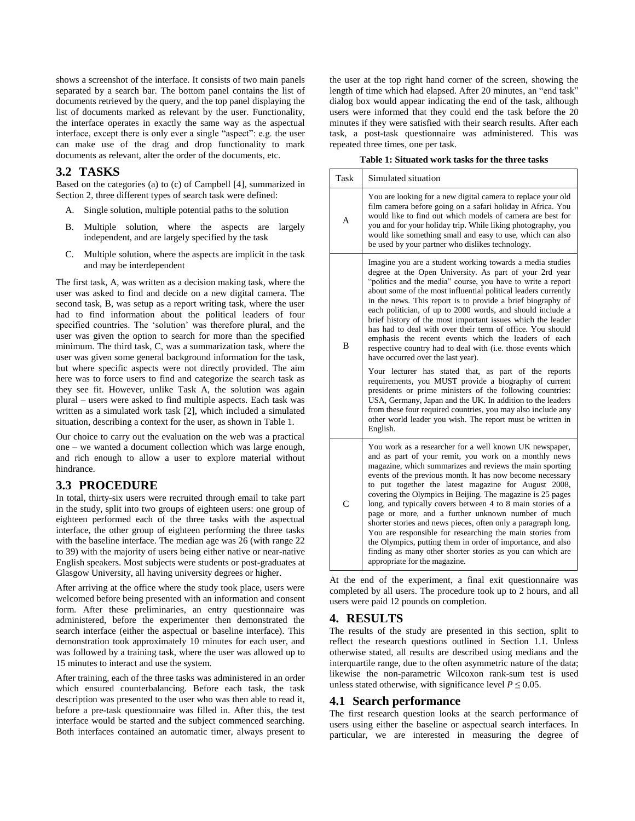shows a screenshot of the interface. It consists of two main panels separated by a search bar. The bottom panel contains the list of documents retrieved by the query, and the top panel displaying the list of documents marked as relevant by the user. Functionality, the interface operates in exactly the same way as the aspectual interface, except there is only ever a single "aspect": e.g. the user can make use of the drag and drop functionality to mark documents as relevant, alter the order of the documents, etc.

## **3.2 TASKS**

Based on the categories (a) to (c) of Campbell [4], summarized in Section 2, three different types of search task were defined:

- A. Single solution, multiple potential paths to the solution
- B. Multiple solution, where the aspects are largely independent, and are largely specified by the task
- C. Multiple solution, where the aspects are implicit in the task and may be interdependent

The first task, A, was written as a decision making task, where the user was asked to find and decide on a new digital camera. The second task, B, was setup as a report writing task, where the user had to find information about the political leaders of four specified countries. The "solution" was therefore plural, and the user was given the option to search for more than the specified minimum. The third task, C, was a summarization task, where the user was given some general background information for the task, but where specific aspects were not directly provided. The aim here was to force users to find and categorize the search task as they see fit. However, unlike Task A, the solution was again plural – users were asked to find multiple aspects. Each task was written as a simulated work task [2], which included a simulated situation, describing a context for the user, as shown in Table 1.

Our choice to carry out the evaluation on the web was a practical one – we wanted a document collection which was large enough, and rich enough to allow a user to explore material without hindrance.

## **3.3 PROCEDURE**

In total, thirty-six users were recruited through email to take part in the study, split into two groups of eighteen users: one group of eighteen performed each of the three tasks with the aspectual interface, the other group of eighteen performing the three tasks with the baseline interface. The median age was 26 (with range 22 to 39) with the majority of users being either native or near-native English speakers. Most subjects were students or post-graduates at Glasgow University, all having university degrees or higher.

After arriving at the office where the study took place, users were welcomed before being presented with an information and consent form. After these preliminaries, an entry questionnaire was administered, before the experimenter then demonstrated the search interface (either the aspectual or baseline interface). This demonstration took approximately 10 minutes for each user, and was followed by a training task, where the user was allowed up to 15 minutes to interact and use the system.

After training, each of the three tasks was administered in an order which ensured counterbalancing. Before each task, the task description was presented to the user who was then able to read it, before a pre-task questionnaire was filled in. After this, the test interface would be started and the subject commenced searching. Both interfaces contained an automatic timer, always present to the user at the top right hand corner of the screen, showing the length of time which had elapsed. After 20 minutes, an "end task" dialog box would appear indicating the end of the task, although users were informed that they could end the task before the 20 minutes if they were satisfied with their search results. After each task, a post-task questionnaire was administered. This was repeated three times, one per task.

|  | Table 1: Situated work tasks for the three tasks |  |  |  |  |  |
|--|--------------------------------------------------|--|--|--|--|--|
|--|--------------------------------------------------|--|--|--|--|--|

| Task           | Simulated situation                                                                                                                                                                                                                                                                                                                                                                                                                                                                                                                                                                                                                                                                                                                                                                                                                                                                                                                                                                                                                                                  |
|----------------|----------------------------------------------------------------------------------------------------------------------------------------------------------------------------------------------------------------------------------------------------------------------------------------------------------------------------------------------------------------------------------------------------------------------------------------------------------------------------------------------------------------------------------------------------------------------------------------------------------------------------------------------------------------------------------------------------------------------------------------------------------------------------------------------------------------------------------------------------------------------------------------------------------------------------------------------------------------------------------------------------------------------------------------------------------------------|
| A              | You are looking for a new digital camera to replace your old<br>film camera before going on a safari holiday in Africa. You<br>would like to find out which models of camera are best for<br>you and for your holiday trip. While liking photography, you<br>would like something small and easy to use, which can also<br>be used by your partner who dislikes technology.                                                                                                                                                                                                                                                                                                                                                                                                                                                                                                                                                                                                                                                                                          |
| $\overline{B}$ | Imagine you are a student working towards a media studies<br>degree at the Open University. As part of your 2rd year<br>"politics and the media" course, you have to write a report<br>about some of the most influential political leaders currently<br>in the news. This report is to provide a brief biography of<br>each politician, of up to 2000 words, and should include a<br>brief history of the most important issues which the leader<br>has had to deal with over their term of office. You should<br>emphasis the recent events which the leaders of each<br>respective country had to deal with (i.e. those events which<br>have occurred over the last year).<br>Your lecturer has stated that, as part of the reports<br>requirements, you MUST provide a biography of current<br>presidents or prime ministers of the following countries:<br>USA, Germany, Japan and the UK. In addition to the leaders<br>from these four required countries, you may also include any<br>other world leader you wish. The report must be written in<br>English. |
| $\mathsf{C}$   | You work as a researcher for a well known UK newspaper,<br>and as part of your remit, you work on a monthly news<br>magazine, which summarizes and reviews the main sporting<br>events of the previous month. It has now become necessary<br>to put together the latest magazine for August 2008,<br>covering the Olympics in Beijing. The magazine is 25 pages<br>long, and typically covers between 4 to 8 main stories of a<br>page or more, and a further unknown number of much<br>shorter stories and news pieces, often only a paragraph long.<br>You are responsible for researching the main stories from<br>the Olympics, putting them in order of importance, and also<br>finding as many other shorter stories as you can which are<br>appropriate for the magazine.                                                                                                                                                                                                                                                                                     |

At the end of the experiment, a final exit questionnaire was completed by all users. The procedure took up to 2 hours, and all users were paid 12 pounds on completion.

## **4. RESULTS**

The results of the study are presented in this section, split to reflect the research questions outlined in Section 1.1. Unless otherwise stated, all results are described using medians and the interquartile range, due to the often asymmetric nature of the data; likewise the non-parametric Wilcoxon rank-sum test is used unless stated otherwise, with significance level  $P \le 0.05$ .

#### **4.1 Search performance**

The first research question looks at the search performance of users using either the baseline or aspectual search interfaces. In particular, we are interested in measuring the degree of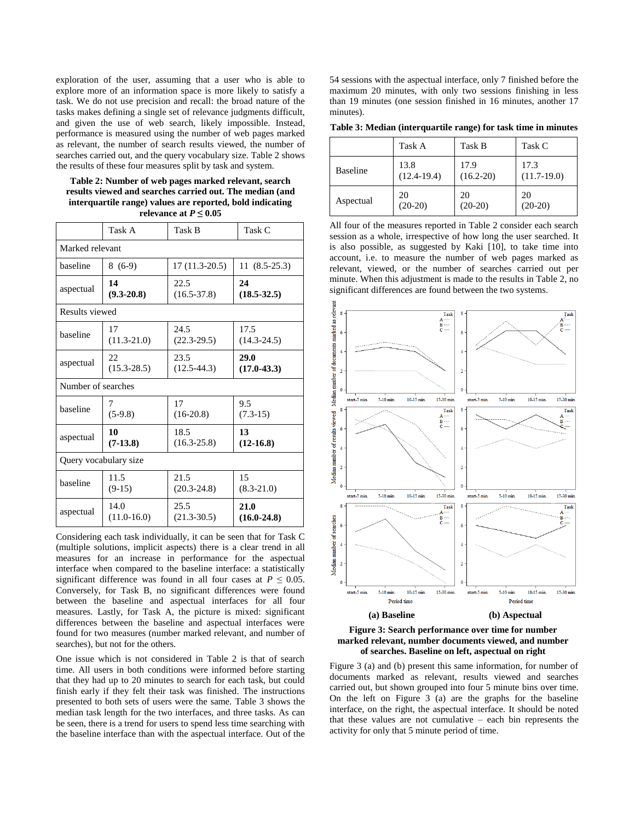exploration of the user, assuming that a user who is able to explore more of an information space is more likely to satisfy a task. We do not use precision and recall: the broad nature of the tasks makes defining a single set of relevance judgments difficult, and given the use of web search, likely impossible. Instead, performance is measured using the number of web pages marked as relevant, the number of search results viewed, the number of searches carried out, and the query vocabulary size. Table 2 shows the results of these four measures split by task and system.

**Table 2: Number of web pages marked relevant, search results viewed and searches carried out. The median (and interquartile range) values are reported, bold indicating relevance at**  $P \leq 0.05$ 

|                    | Task A                | Task B          | Task C          |  |  |  |
|--------------------|-----------------------|-----------------|-----------------|--|--|--|
| Marked relevant    |                       |                 |                 |  |  |  |
| baseline           | $8(6-9)$              | $17(11.3-20.5)$ | $11(8.5-25.3)$  |  |  |  |
| aspectual          | 14                    | 22.5            | 24              |  |  |  |
|                    | $(9.3 - 20.8)$        | $(16.5 - 37.8)$ | $(18.5 - 32.5)$ |  |  |  |
| Results viewed     |                       |                 |                 |  |  |  |
| haseline           | 17                    | 24.5            | 17.5            |  |  |  |
|                    | $(11.3 - 21.0)$       | $(22.3 - 29.5)$ | $(14.3 - 24.5)$ |  |  |  |
| aspectual          | 22                    | 23.5            | 29.0            |  |  |  |
|                    | $(15.3 - 28.5)$       | $(12.5-44.3)$   | $(17.0 - 43.3)$ |  |  |  |
| Number of searches |                       |                 |                 |  |  |  |
| haseline           | 7                     | 17              | 9.5             |  |  |  |
|                    | $(5-9.8)$             | $(16-20.8)$     | $(7.3-15)$      |  |  |  |
| aspectual          | 10                    | 18.5            | 13              |  |  |  |
|                    | $(7-13.8)$            | $(16.3 - 25.8)$ | $(12-16.8)$     |  |  |  |
|                    | Query vocabulary size |                 |                 |  |  |  |
| baseline           | 11.5                  | 21.5            | 15              |  |  |  |
|                    | $(9-15)$              | $(20.3 - 24.8)$ | $(8.3-21.0)$    |  |  |  |
| aspectual          | 14.0                  | 25.5            | 21.0            |  |  |  |
|                    | $(11.0-16.0)$         | $(21.3 - 30.5)$ | $(16.0 - 24.8)$ |  |  |  |

Considering each task individually, it can be seen that for Task C (multiple solutions, implicit aspects) there is a clear trend in all measures for an increase in performance for the aspectual interface when compared to the baseline interface: a statistically significant difference was found in all four cases at  $P \leq 0.05$ . Conversely, for Task B, no significant differences were found between the baseline and aspectual interfaces for all four measures. Lastly, for Task A, the picture is mixed: significant differences between the baseline and aspectual interfaces were found for two measures (number marked relevant, and number of searches), but not for the others.

One issue which is not considered in Table 2 is that of search time. All users in both conditions were informed before starting that they had up to 20 minutes to search for each task, but could finish early if they felt their task was finished. The instructions presented to both sets of users were the same. Table 3 shows the median task length for the two interfaces, and three tasks. As can be seen, there is a trend for users to spend less time searching with the baseline interface than with the aspectual interface. Out of the 54 sessions with the aspectual interface, only 7 finished before the maximum 20 minutes, with only two sessions finishing in less than 19 minutes (one session finished in 16 minutes, another 17 minutes).

**Table 3: Median (interquartile range) for task time in minutes**

|                 | Task A        | Task B        | Task C        |
|-----------------|---------------|---------------|---------------|
| <b>Baseline</b> | 13.8          | 17.9          | 17.3          |
|                 | $(12.4-19.4)$ | $(16.2 - 20)$ | $(11.7-19.0)$ |
| Aspectual       | 20            | 20            | 20            |
|                 | $(20-20)$     | $(20-20)$     | $(20-20)$     |

All four of the measures reported in Table 2 consider each search session as a whole, irrespective of how long the user searched. It is also possible, as suggested by Kaki [10], to take time into account, i.e. to measure the number of web pages marked as relevant, viewed, or the number of searches carried out per minute. When this adjustment is made to the results in Table 2, no significant differences are found between the two systems.



**Figure 3: Search performance over time for number marked relevant, number documents viewed, and number of searches. Baseline on left, aspectual on right**

Figure 3 (a) and (b) present this same information, for number of documents marked as relevant, results viewed and searches carried out, but shown grouped into four 5 minute bins over time. On the left on Figure 3 (a) are the graphs for the baseline interface, on the right, the aspectual interface. It should be noted that these values are not cumulative – each bin represents the activity for only that 5 minute period of time.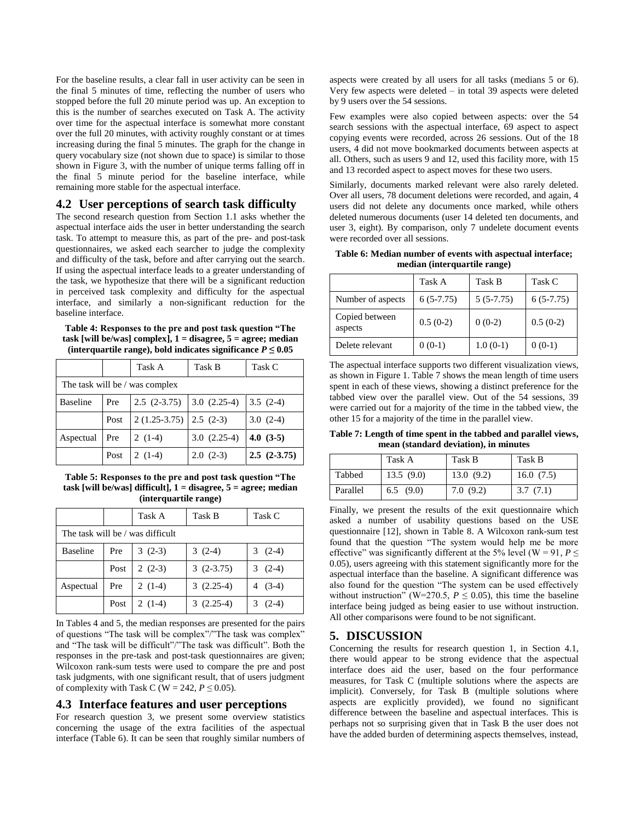For the baseline results, a clear fall in user activity can be seen in the final 5 minutes of time, reflecting the number of users who stopped before the full 20 minute period was up. An exception to this is the number of searches executed on Task A. The activity over time for the aspectual interface is somewhat more constant over the full 20 minutes, with activity roughly constant or at times increasing during the final 5 minutes. The graph for the change in query vocabulary size (not shown due to space) is similar to those shown in Figure 3, with the number of unique terms falling off in the final 5 minute period for the baseline interface, while remaining more stable for the aspectual interface.

#### **4.2 User perceptions of search task difficulty**

The second research question from Section 1.1 asks whether the aspectual interface aids the user in better understanding the search task. To attempt to measure this, as part of the pre- and post-task questionnaires, we asked each searcher to judge the complexity and difficulty of the task, before and after carrying out the search. If using the aspectual interface leads to a greater understanding of the task, we hypothesize that there will be a significant reduction in perceived task complexity and difficulty for the aspectual interface, and similarly a non-significant reduction for the baseline interface.

#### **Table 4: Responses to the pre and post task question "The task [will be/was] complex], 1 = disagree, 5 = agree; median**  (interquartile range), bold indicates significance  $P \leq 0.05$

|                                |      | Task A         | Task B        | Task C        |  |
|--------------------------------|------|----------------|---------------|---------------|--|
| The task will be / was complex |      |                |               |               |  |
| <b>Baseline</b>                | Pre  | $2.5(2-3.75)$  | $3.0(2.25-4)$ | $3.5(2-4)$    |  |
|                                | Post | $2(1.25-3.75)$ | $2.5(2-3)$    | $3.0(2-4)$    |  |
| Aspectual                      | Pre  | $2(1-4)$       | $3.0(2.25-4)$ | $4.0(3-5)$    |  |
|                                | Post | $2(1-4)$       | $2.0(2-3)$    | $2.5(2-3.75)$ |  |

**Table 5: Responses to the pre and post task question "The task [will be/was] difficult], 1 = disagree, 5 = agree; median (interquartile range)**

|                                  |      | Task A   | Task B      | Task C    |  |
|----------------------------------|------|----------|-------------|-----------|--|
| The task will be / was difficult |      |          |             |           |  |
| <b>Baseline</b>                  | Pre  | $3(2-3)$ | $3(2-4)$    | $3(2-4)$  |  |
|                                  | Post | $2(2-3)$ | $3(2-3.75)$ | $3(2-4)$  |  |
| Aspectual                        | Pre  | $2(1-4)$ | $3(2.25-4)$ | 4 $(3-4)$ |  |
|                                  | Post | $2(1-4)$ | $3(2.25-4)$ | $(2-4)$   |  |

In Tables 4 and 5, the median responses are presented for the pairs of questions "The task will be complex"/"The task was complex" and "The task will be difficult"/"The task was difficult". Both the responses in the pre-task and post-task questionnaires are given; Wilcoxon rank-sum tests were used to compare the pre and post task judgments, with one significant result, that of users judgment of complexity with Task C (W = 242,  $P \le 0.05$ ).

#### **4.3 Interface features and user perceptions**

For research question 3, we present some overview statistics concerning the usage of the extra facilities of the aspectual interface (Table 6). It can be seen that roughly similar numbers of

aspects were created by all users for all tasks (medians 5 or 6). Very few aspects were deleted – in total 39 aspects were deleted by 9 users over the 54 sessions.

Few examples were also copied between aspects: over the 54 search sessions with the aspectual interface, 69 aspect to aspect copying events were recorded, across 26 sessions. Out of the 18 users, 4 did not move bookmarked documents between aspects at all. Others, such as users 9 and 12, used this facility more, with 15 and 13 recorded aspect to aspect moves for these two users.

Similarly, documents marked relevant were also rarely deleted. Over all users, 78 document deletions were recorded, and again, 4 users did not delete any documents once marked, while others deleted numerous documents (user 14 deleted ten documents, and user 3, eight). By comparison, only 7 undelete document events were recorded over all sessions.

**Table 6: Median number of events with aspectual interface; median (interquartile range)**

|                           | Task A      | Task B      | Task C      |
|---------------------------|-------------|-------------|-------------|
| Number of aspects         | $6(5-7.75)$ | $5(5-7.75)$ | $6(5-7.75)$ |
| Copied between<br>aspects | $0.5(0-2)$  | $0(0-2)$    | $0.5(0-2)$  |
| Delete relevant           | $0(0-1)$    | $1.0(0-1)$  | $0(0-1)$    |

The aspectual interface supports two different visualization views, as shown in Figure 1. Table 7 shows the mean length of time users spent in each of these views, showing a distinct preference for the tabbed view over the parallel view. Out of the 54 sessions, 39 were carried out for a majority of the time in the tabbed view, the other 15 for a majority of the time in the parallel view.

**Table 7: Length of time spent in the tabbed and parallel views, mean (standard deviation), in minutes**

|          | Task A    | Task B    | Task B    |
|----------|-----------|-----------|-----------|
| Tabbed   | 13.5(9.0) | 13.0(9.2) | 16.0(7.5) |
| Parallel | 6.5(9.0)  | 7.0(9.2)  | 3.7(7.1)  |

Finally, we present the results of the exit questionnaire which asked a number of usability questions based on the USE questionnaire [12], shown in Table 8. A Wilcoxon rank-sum test found that the question "The system would help me be more effective" was significantly different at the 5% level (W = 91,  $P \leq$ 0.05), users agreeing with this statement significantly more for the aspectual interface than the baseline. A significant difference was also found for the question "The system can be used effectively without instruction" (W=270.5,  $P \le 0.05$ ), this time the baseline interface being judged as being easier to use without instruction. All other comparisons were found to be not significant.

#### **5. DISCUSSION**

Concerning the results for research question 1, in Section 4.1, there would appear to be strong evidence that the aspectual interface does aid the user, based on the four performance measures, for Task C (multiple solutions where the aspects are implicit). Conversely, for Task B (multiple solutions where aspects are explicitly provided), we found no significant difference between the baseline and aspectual interfaces. This is perhaps not so surprising given that in Task B the user does not have the added burden of determining aspects themselves, instead,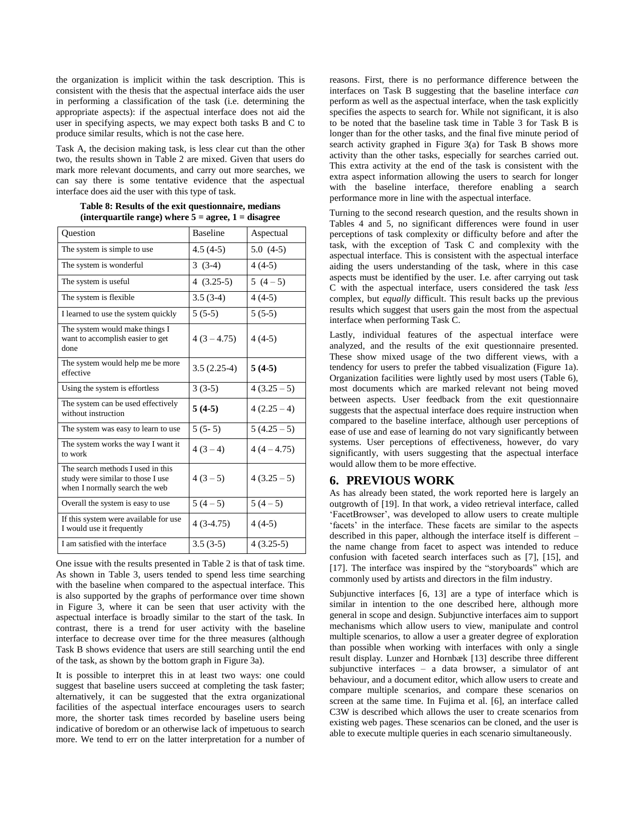the organization is implicit within the task description. This is consistent with the thesis that the aspectual interface aids the user in performing a classification of the task (i.e. determining the appropriate aspects): if the aspectual interface does not aid the user in specifying aspects, we may expect both tasks B and C to produce similar results, which is not the case here.

Task A, the decision making task, is less clear cut than the other two, the results shown in Table 2 are mixed. Given that users do mark more relevant documents, and carry out more searches, we can say there is some tentative evidence that the aspectual interface does aid the user with this type of task.

| <b>Ouestion</b>                                                                                          | <b>Baseline</b> | Aspectual     |
|----------------------------------------------------------------------------------------------------------|-----------------|---------------|
| The system is simple to use.                                                                             | $4.5(4-5)$      | $5.0(4-5)$    |
| The system is wonderful                                                                                  | $3(3-4)$        | $4(4-5)$      |
| The system is useful                                                                                     | $4(3.25-5)$     | $5(4-5)$      |
| The system is flexible                                                                                   | $3.5(3-4)$      | $4(4-5)$      |
| I learned to use the system quickly                                                                      | $5(5-5)$        | $5(5-5)$      |
| The system would make things I<br>want to accomplish easier to get<br>done                               | $4(3 - 4.75)$   | $4(4-5)$      |
| The system would help me be more<br>effective                                                            | $3.5(2.25-4)$   | $5(4-5)$      |
| Using the system is effortless                                                                           | $3(3-5)$        | $4(3.25-5)$   |
| The system can be used effectively<br>without instruction                                                | $5(4-5)$        | $4(2.25-4)$   |
| The system was easy to learn to use                                                                      | $5(5-5)$        | $5(4.25-5)$   |
| The system works the way I want it<br>to work                                                            | $4(3-4)$        | $4(4 - 4.75)$ |
| The search methods I used in this<br>study were similar to those I use<br>when I normally search the web | $4(3-5)$        | $4(3.25-5)$   |
| Overall the system is easy to use                                                                        | $5(4-5)$        | $5(4-5)$      |
| If this system were available for use<br>I would use it frequently                                       | $4(3-4.75)$     | $4(4-5)$      |
| I am satisfied with the interface                                                                        | $3.5(3-5)$      | $4(3.25-5)$   |

| Table 8: Results of the exit questionnaire, medians     |  |
|---------------------------------------------------------|--|
| (interquartile range) where $5 =$ agree, $1 =$ disagree |  |

One issue with the results presented in Table 2 is that of task time. As shown in Table 3, users tended to spend less time searching with the baseline when compared to the aspectual interface. This is also supported by the graphs of performance over time shown in Figure 3, where it can be seen that user activity with the aspectual interface is broadly similar to the start of the task. In contrast, there is a trend for user activity with the baseline interface to decrease over time for the three measures (although Task B shows evidence that users are still searching until the end of the task, as shown by the bottom graph in Figure 3a).

It is possible to interpret this in at least two ways: one could suggest that baseline users succeed at completing the task faster; alternatively, it can be suggested that the extra organizational facilities of the aspectual interface encourages users to search more, the shorter task times recorded by baseline users being indicative of boredom or an otherwise lack of impetuous to search more. We tend to err on the latter interpretation for a number of reasons. First, there is no performance difference between the interfaces on Task B suggesting that the baseline interface *can* perform as well as the aspectual interface, when the task explicitly specifies the aspects to search for. While not significant, it is also to be noted that the baseline task time in Table 3 for Task B is longer than for the other tasks, and the final five minute period of search activity graphed in Figure 3(a) for Task B shows more activity than the other tasks, especially for searches carried out. This extra activity at the end of the task is consistent with the extra aspect information allowing the users to search for longer with the baseline interface, therefore enabling a search performance more in line with the aspectual interface.

Turning to the second research question, and the results shown in Tables 4 and 5, no significant differences were found in user perceptions of task complexity or difficulty before and after the task, with the exception of Task C and complexity with the aspectual interface. This is consistent with the aspectual interface aiding the users understanding of the task, where in this case aspects must be identified by the user. I.e. after carrying out task C with the aspectual interface, users considered the task *less* complex, but *equally* difficult. This result backs up the previous results which suggest that users gain the most from the aspectual interface when performing Task C.

Lastly, individual features of the aspectual interface were analyzed, and the results of the exit questionnaire presented. These show mixed usage of the two different views, with a tendency for users to prefer the tabbed visualization (Figure 1a). Organization facilities were lightly used by most users (Table 6), most documents which are marked relevant not being moved between aspects. User feedback from the exit questionnaire suggests that the aspectual interface does require instruction when compared to the baseline interface, although user perceptions of ease of use and ease of learning do not vary significantly between systems. User perceptions of effectiveness, however, do vary significantly, with users suggesting that the aspectual interface would allow them to be more effective.

## **6. PREVIOUS WORK**

As has already been stated, the work reported here is largely an outgrowth of [19]. In that work, a video retrieval interface, called "FacetBrowser", was developed to allow users to create multiple 'facets' in the interface. These facets are similar to the aspects described in this paper, although the interface itself is different – the name change from facet to aspect was intended to reduce confusion with faceted search interfaces such as [7], [15], and [17]. The interface was inspired by the "storyboards" which are commonly used by artists and directors in the film industry.

Subjunctive interfaces [6, 13] are a type of interface which is similar in intention to the one described here, although more general in scope and design. Subjunctive interfaces aim to support mechanisms which allow users to view, manipulate and control multiple scenarios, to allow a user a greater degree of exploration than possible when working with interfaces with only a single result display. Lunzer and Hornbæk [13] describe three different subjunctive interfaces – a data browser, a simulator of ant behaviour, and a document editor, which allow users to create and compare multiple scenarios, and compare these scenarios on screen at the same time. In Fujima et al. [6], an interface called C3W is described which allows the user to create scenarios from existing web pages. These scenarios can be cloned, and the user is able to execute multiple queries in each scenario simultaneously.